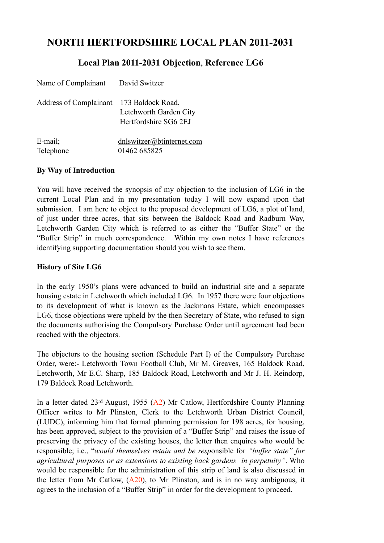# **NORTH HERTFORDSHIRE LOCAL PLAN 2011-2031**

## **Local Plan 2011-2031 Objection**, **Reference LG6**

| Name of Complainant David Switzer        |                                                 |
|------------------------------------------|-------------------------------------------------|
| Address of Complainant 173 Baldock Road, | Letchworth Garden City<br>Hertfordshire SG6 2EJ |
| $E$ -mail;                               | dnlswitzer@btinternet.com                       |

Telephone 01462 685825

#### **By Way of Introduction**

You will have received the synopsis of my objection to the inclusion of LG6 in the current Local Plan and in my presentation today I will now expand upon that submission. I am here to object to the proposed development of LG6, a plot of land, of just under three acres, that sits between the Baldock Road and Radburn Way, Letchworth Garden City which is referred to as either the "Buffer State" or the "Buffer Strip" in much correspondence. Within my own notes I have references identifying supporting documentation should you wish to see them.

#### **History of Site LG6**

In the early 1950's plans were advanced to build an industrial site and a separate housing estate in Letchworth which included LG6. In 1957 there were four objections to its development of what is known as the Jackmans Estate, which encompasses LG6, those objections were upheld by the then Secretary of State, who refused to sign the documents authorising the Compulsory Purchase Order until agreement had been reached with the objectors.

The objectors to the housing section (Schedule Part I) of the Compulsory Purchase Order, were:- Letchworth Town Football Club, Mr M. Greaves, 165 Baldock Road, Letchworth, Mr E.C. Sharp, 185 Baldock Road, Letchworth and Mr J. H. Reindorp, 179 Baldock Road Letchworth.

In a letter dated 23rd August, 1955 (A2) Mr Catlow, Hertfordshire County Planning Officer writes to Mr Plinston, Clerk to the Letchworth Urban District Council, (LUDC), informing him that formal planning permission for 198 acres, for housing, has been approved, subject to the provision of a "Buffer Strip" and raises the issue of preserving the privacy of the existing houses, the letter then enquires who would be responsible; i.e., "*would themselves retain and be resp*onsible for *"buffer state" for agricultural purposes or as extensions to existing back gardens in perpetuity"*. Who would be responsible for the administration of this strip of land is also discussed in the letter from Mr Catlow,  $(A20)$ , to Mr Plinston, and is in no way ambiguous, it agrees to the inclusion of a "Buffer Strip" in order for the development to proceed.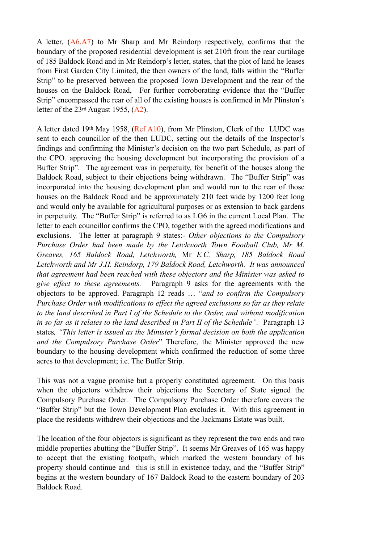A letter, (A6,A7) to Mr Sharp and Mr Reindorp respectively, confirms that the boundary of the proposed residential development is set 210ft from the rear curtilage of 185 Baldock Road and in Mr Reindorp's letter, states, that the plot of land he leases from First Garden City Limited, the then owners of the land, falls within the "Buffer Strip" to be preserved between the proposed Town Development and the rear of the houses on the Baldock Road, For further corroborating evidence that the "Buffer Strip" encompassed the rear of all of the existing houses is confirmed in Mr Plinston's letter of the 23rd August 1955, (A2).

A letter dated 19th May 1958, (Ref A10), from Mr Plinston, Clerk of the LUDC was sent to each councillor of the then LUDC, setting out the details of the Inspector's findings and confirming the Minister's decision on the two part Schedule, as part of the CPO. approving the housing development but incorporating the provision of a Buffer Strip". The agreement was in perpetuity, for benefit of the houses along the Baldock Road, subject to their objections being withdrawn. The "Buffer Strip" was incorporated into the housing development plan and would run to the rear of those houses on the Baldock Road and be approximately 210 feet wide by 1200 feet long and would only be available for agricultural purposes or as extension to back gardens in perpetuity. The "Buffer Strip" is referred to as LG6 in the current Local Plan. The letter to each councillor confirms the CPO, together with the agreed modifications and exclusions. The letter at paragraph 9 states:- *Other objections to the Compulsory Purchase Order had been made by the Letchworth Town Football Club, Mr M. Greaves, 165 Baldock Road, Letchworth,* Mr *E.C. Sharp, 185 Baldock Road Letchworth and Mr J.H. Reindorp, 179 Baldock Road, Letchworth. It was announced that agreement had been reached with these objectors and the Minister was asked to give effect to these agreements.* Paragraph 9 asks for the agreements with the objectors to be approved. Paragraph 12 reads … "*and to confirm the Compulsory Purchase Order with modifications to effect the agreed exclusions so far as they relate to the land described in Part I of the Schedule to the Order, and without modification in so far as it relates to the land described in Part II of the Schedule".* Paragraph 13 states*, "This letter is issued as the Minister's formal decision on both the application and the Compulsory Purchase Order*" Therefore, the Minister approved the new boundary to the housing development which confirmed the reduction of some three acres to that development; i.e. The Buffer Strip.

This was not a vague promise but a properly constituted agreement. On this basis when the objectors withdrew their objections the Secretary of State signed the Compulsory Purchase Order. The Compulsory Purchase Order therefore covers the "Buffer Strip" but the Town Development Plan excludes it. With this agreement in place the residents withdrew their objections and the Jackmans Estate was built.

The location of the four objectors is significant as they represent the two ends and two middle properties abutting the "Buffer Strip". It seems Mr Greaves of 165 was happy to accept that the existing footpath, which marked the western boundary of his property should continue and this is still in existence today, and the "Buffer Strip" begins at the western boundary of 167 Baldock Road to the eastern boundary of 203 Baldock Road.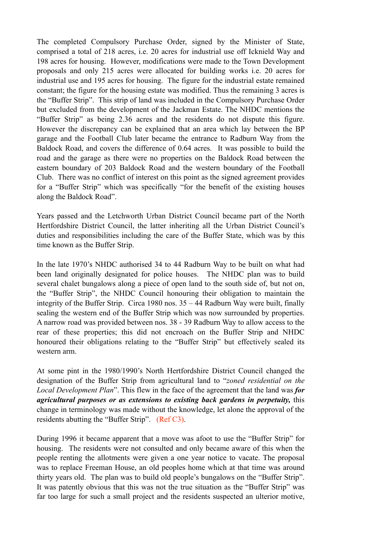The completed Compulsory Purchase Order, signed by the Minister of State, comprised a total of 218 acres, i.e. 20 acres for industrial use off Icknield Way and 198 acres for housing. However, modifications were made to the Town Development proposals and only 215 acres were allocated for building works i.e. 20 acres for industrial use and 195 acres for housing. The figure for the industrial estate remained constant; the figure for the housing estate was modified. Thus the remaining 3 acres is the "Buffer Strip". This strip of land was included in the Compulsory Purchase Order but excluded from the development of the Jackman Estate. The NHDC mentions the "Buffer Strip" as being 2.36 acres and the residents do not dispute this figure. However the discrepancy can be explained that an area which lay between the BP garage and the Football Club later became the entrance to Radburn Way from the Baldock Road, and covers the difference of 0.64 acres. It was possible to build the road and the garage as there were no properties on the Baldock Road between the eastern boundary of 203 Baldock Road and the western boundary of the Football Club. There was no conflict of interest on this point as the signed agreement provides for a "Buffer Strip" which was specifically "for the benefit of the existing houses along the Baldock Road".

Years passed and the Letchworth Urban District Council became part of the North Hertfordshire District Council, the latter inheriting all the Urban District Council's duties and responsibilities including the care of the Buffer State, which was by this time known as the Buffer Strip.

In the late 1970's NHDC authorised 34 to 44 Radburn Way to be built on what had been land originally designated for police houses. The NHDC plan was to build several chalet bungalows along a piece of open land to the south side of, but not on, the "Buffer Strip", the NHDC Council honouring their obligation to maintain the integrity of the Buffer Strip. Circa 1980 nos. 35 – 44 Radburn Way were built, finally sealing the western end of the Buffer Strip which was now surrounded by properties. A narrow road was provided between nos. 38 - 39 Radburn Way to allow access to the rear of these properties; this did not encroach on the Buffer Strip and NHDC honoured their obligations relating to the "Buffer Strip" but effectively sealed its western arm.

At some pint in the 1980/1990's North Hertfordshire District Council changed the designation of the Buffer Strip from agricultural land to "*zoned residential on the Local Development Plan*". This flew in the face of the agreement that the land was *for agricultural purposes or as extensions to existing back gardens in perpetuity,* this change in terminology was made without the knowledge, let alone the approval of the residents abutting the "Buffer Strip". (Ref C3).

During 1996 it became apparent that a move was afoot to use the "Buffer Strip" for housing. The residents were not consulted and only became aware of this when the people renting the allotments were given a one year notice to vacate. The proposal was to replace Freeman House, an old peoples home which at that time was around thirty years old. The plan was to build old people's bungalows on the "Buffer Strip". It was patently obvious that this was not the true situation as the "Buffer Strip" was far too large for such a small project and the residents suspected an ulterior motive,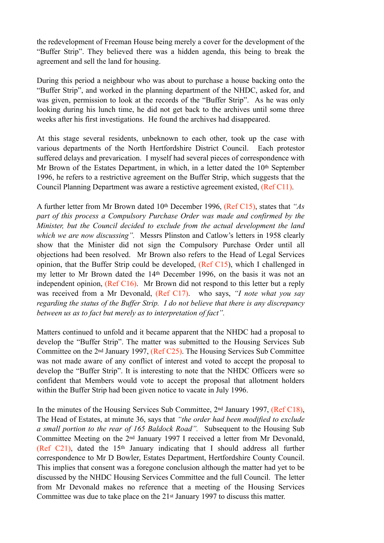the redevelopment of Freeman House being merely a cover for the development of the "Buffer Strip". They believed there was a hidden agenda, this being to break the agreement and sell the land for housing.

During this period a neighbour who was about to purchase a house backing onto the "Buffer Strip", and worked in the planning department of the NHDC, asked for, and was given, permission to look at the records of the "Buffer Strip". As he was only looking during his lunch time, he did not get back to the archives until some three weeks after his first investigations. He found the archives had disappeared.

At this stage several residents, unbeknown to each other, took up the case with various departments of the North Hertfordshire District Council. Each protestor suffered delays and prevarication. I myself had several pieces of correspondence with Mr Brown of the Estates Department, in which, in a letter dated the 10<sup>th</sup> September 1996, he refers to a restrictive agreement on the Buffer Strip, which suggests that the Council Planning Department was aware a restictive agreement existed, (Ref C11).

A further letter from Mr Brown dated 10th December 1996, (Ref C15), states that *"As part of this process a Compulsory Purchase Order was made and confirmed by the Minister, but the Council decided to exclude from the actual development the land which we are now discussing".* Messrs Plinston and Catlow's letters in 1958 clearly show that the Minister did not sign the Compulsory Purchase Order until all objections had been resolved. Mr Brown also refers to the Head of Legal Services opinion, that the Buffer Strip could be developed, (Ref C15), which I challenged in my letter to Mr Brown dated the 14th December 1996, on the basis it was not an independent opinion, (Ref C16). Mr Brown did not respond to this letter but a reply was received from a Mr Devonald, (Ref C17). who says, *"I note what you say regarding the status of the Buffer Strip. I do not believe that there is any discrepancy between us as to fact but merely as to interpretation of fact".*

Matters continued to unfold and it became apparent that the NHDC had a proposal to develop the "Buffer Strip". The matter was submitted to the Housing Services Sub Committee on the 2nd January 1997, (Ref C25). The Housing Services Sub Committee was not made aware of any conflict of interest and voted to accept the proposal to develop the "Buffer Strip". It is interesting to note that the NHDC Officers were so confident that Members would vote to accept the proposal that allotment holders within the Buffer Strip had been given notice to vacate in July 1996.

In the minutes of the Housing Services Sub Committee, 2nd January 1997, (Ref C18), The Head of Estates, at minute 36, says that *"the order had been modified to exclude a small portion to the rear of 165 Baldock Road".* Subsequent to the Housing Sub Committee Meeting on the 2nd January 1997 I received a letter from Mr Devonald, (Ref C21), dated the 15th January indicating that I should address all further correspondence to Mr D Bowler, Estates Department, Hertfordshire County Council. This implies that consent was a foregone conclusion although the matter had yet to be discussed by the NHDC Housing Services Committee and the full Council. The letter from Mr Devonald makes no reference that a meeting of the Housing Services Committee was due to take place on the 21st January 1997 to discuss this matter.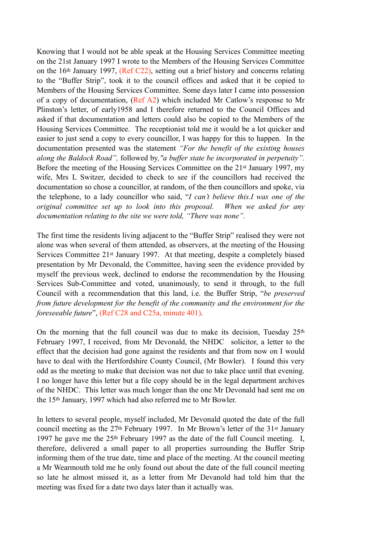Knowing that I would not be able speak at the Housing Services Committee meeting on the 21st January 1997 I wrote to the Members of the Housing Services Committee on the 16th January 1997, (Ref C22), setting out a brief history and concerns relating to the "Buffer Strip", took it to the council offices and asked that it be copied to Members of the Housing Services Committee. Some days later I came into possession of a copy of documentation, (Ref A2) which included Mr Catlow's response to Mr Plinston's letter, of early1958 and I therefore returned to the Council Offices and asked if that documentation and letters could also be copied to the Members of the Housing Services Committee. The receptionist told me it would be a lot quicker and easier to just send a copy to every councillor, I was happy for this to happen. In the documentation presented was the statement *"For the benefit of the existing houses along the Baldock Road",* followed by*,"a buffer state be incorporated in perpetuity".*  Before the meeting of the Housing Services Committee on the 21st January 1997, my wife, Mrs L Switzer, decided to check to see if the councillors had received the documentation so chose a councillor, at random, of the then councillors and spoke, via the telephone, to a lady councillor who said, "*I can't believe this.I was one of the original committee set up to look into this proposal. When we asked for any documentation relating to the site we were told, "There was none".*

The first time the residents living adjacent to the "Buffer Strip" realised they were not alone was when several of them attended, as observers, at the meeting of the Housing Services Committee 21st January 1997. At that meeting, despite a completely biased presentation by Mr Devonald, the Committee, having seen the evidence provided by myself the previous week, declined to endorse the recommendation by the Housing Services Sub-Committee and voted, unanimously, to send it through, to the full Council with a recommendation that this land, i.e. the Buffer Strip, "*be preserved from future development for the benefit of the community and the environment for the foreseeable future*", (Ref C28 and C25a, minute 401).

On the morning that the full council was due to make its decision, Tuesday  $25<sup>th</sup>$ February 1997, I received, from Mr Devonald, the NHDC solicitor, a letter to the effect that the decision had gone against the residents and that from now on I would have to deal with the Hertfordshire County Council, (Mr Bowler). I found this very odd as the meeting to make that decision was not due to take place until that evening. I no longer have this letter but a file copy should be in the legal department archives of the NHDC. This letter was much longer than the one Mr Devonald had sent me on the 15th January, 1997 which had also referred me to Mr Bowler.

In letters to several people, myself included, Mr Devonald quoted the date of the full council meeting as the 27th February 1997. In Mr Brown's letter of the 31st January 1997 he gave me the 25th February 1997 as the date of the full Council meeting. I, therefore, delivered a small paper to all properties surrounding the Buffer Strip informing them of the true date, time and place of the meeting. At the council meeting a Mr Wearmouth told me he only found out about the date of the full council meeting so late he almost missed it, as a letter from Mr Devanold had told him that the meeting was fixed for a date two days later than it actually was.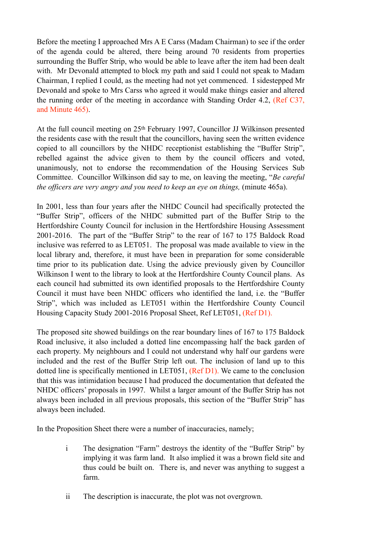Before the meeting I approached Mrs A E Carss (Madam Chairman) to see if the order of the agenda could be altered, there being around 70 residents from properties surrounding the Buffer Strip, who would be able to leave after the item had been dealt with. Mr Devonald attempted to block my path and said I could not speak to Madam Chairman, I replied I could, as the meeting had not yet commenced. I sidestepped Mr Devonald and spoke to Mrs Carss who agreed it would make things easier and altered the running order of the meeting in accordance with Standing Order 4.2, (Ref C37, and Minute 465).

At the full council meeting on 25th February 1997, Councillor JJ Wilkinson presented the residents case with the result that the councillors, having seen the written evidence copied to all councillors by the NHDC receptionist establishing the "Buffer Strip", rebelled against the advice given to them by the council officers and voted, unanimously, not to endorse the recommendation of the Housing Services Sub Committee. Councillor Wilkinson did say to me, on leaving the meeting, "*Be careful the officers are very angry and you need to keep an eye on things,* (minute 465a).

In 2001, less than four years after the NHDC Council had specifically protected the "Buffer Strip", officers of the NHDC submitted part of the Buffer Strip to the Hertfordshire County Council for inclusion in the Hertfordshire Housing Assessment 2001-2016. The part of the "Buffer Strip" to the rear of 167 to 175 Baldock Road inclusive was referred to as LET051. The proposal was made available to view in the local library and, therefore, it must have been in preparation for some considerable time prior to its publication date. Using the advice previously given by Councillor Wilkinson I went to the library to look at the Hertfordshire County Council plans. As each council had submitted its own identified proposals to the Hertfordshire County Council it must have been NHDC officers who identified the land, i.e. the "Buffer Strip", which was included as LET051 within the Hertfordshire County Council Housing Capacity Study 2001-2016 Proposal Sheet, Ref LET051, (Ref D1).

The proposed site showed buildings on the rear boundary lines of 167 to 175 Baldock Road inclusive, it also included a dotted line encompassing half the back garden of each property. My neighbours and I could not understand why half our gardens were included and the rest of the Buffer Strip left out. The inclusion of land up to this dotted line is specifically mentioned in LET051, (Ref D1). We came to the conclusion that this was intimidation because I had produced the documentation that defeated the NHDC officers' proposals in 1997. Whilst a larger amount of the Buffer Strip has not always been included in all previous proposals, this section of the "Buffer Strip" has always been included.

In the Proposition Sheet there were a number of inaccuracies, namely;

- i The designation "Farm" destroys the identity of the "Buffer Strip" by implying it was farm land. It also implied it was a brown field site and thus could be built on. There is, and never was anything to suggest a farm.
- ii The description is inaccurate, the plot was not overgrown.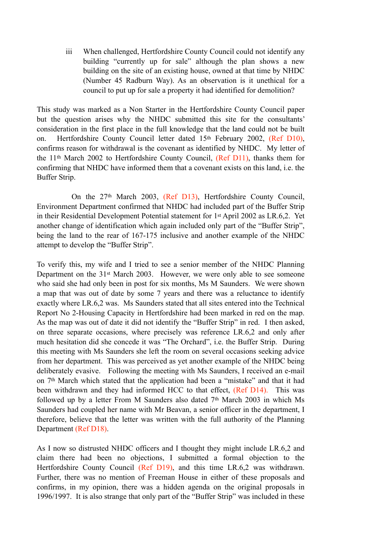iii When challenged, Hertfordshire County Council could not identify any building "currently up for sale" although the plan shows a new building on the site of an existing house, owned at that time by NHDC (Number 45 Radburn Way). As an observation is it unethical for a council to put up for sale a property it had identified for demolition?

This study was marked as a Non Starter in the Hertfordshire County Council paper but the question arises why the NHDC submitted this site for the consultants' consideration in the first place in the full knowledge that the land could not be built on. Hertfordshire County Council letter dated 15th February 2002, (Ref D10), confirms reason for withdrawal is the covenant as identified by NHDC. My letter of the 11th March 2002 to Hertfordshire County Council, (Ref D11), thanks them for confirming that NHDC have informed them that a covenant exists on this land, i.e. the Buffer Strip.

 On the 27th March 2003, (Ref D13), Hertfordshire County Council, Environment Department confirmed that NHDC had included part of the Buffer Strip in their Residential Development Potential statement for 1st April 2002 as LR.6,2. Yet another change of identification which again included only part of the "Buffer Strip", being the land to the rear of 167-175 inclusive and another example of the NHDC attempt to develop the "Buffer Strip".

To verify this, my wife and I tried to see a senior member of the NHDC Planning Department on the 31st March 2003. However, we were only able to see someone who said she had only been in post for six months, Ms M Saunders. We were shown a map that was out of date by some 7 years and there was a reluctance to identify exactly where LR.6,2 was. Ms Saunders stated that all sites entered into the Technical Report No 2-Housing Capacity in Hertfordshire had been marked in red on the map. As the map was out of date it did not identify the "Buffer Strip" in red. I then asked, on three separate occasions, where precisely was reference LR.6,2 and only after much hesitation did she concede it was "The Orchard", i.e. the Buffer Strip. During this meeting with Ms Saunders she left the room on several occasions seeking advice from her department. This was perceived as yet another example of the NHDC being deliberately evasive. Following the meeting with Ms Saunders, I received an e-mail on 7th March which stated that the application had been a "mistake" and that it had been withdrawn and they had informed HCC to that effect, (Ref D14). This was followed up by a letter From M Saunders also dated 7th March 2003 in which Ms Saunders had coupled her name with Mr Beavan, a senior officer in the department, I therefore, believe that the letter was written with the full authority of the Planning Department (Ref D18).

As I now so distrusted NHDC officers and I thought they might include LR.6,2 and claim there had been no objections, I submitted a formal objection to the Hertfordshire County Council (Ref D19), and this time LR.6,2 was withdrawn. Further, there was no mention of Freeman House in either of these proposals and confirms, in my opinion, there was a hidden agenda on the original proposals in 1996/1997. It is also strange that only part of the "Buffer Strip" was included in these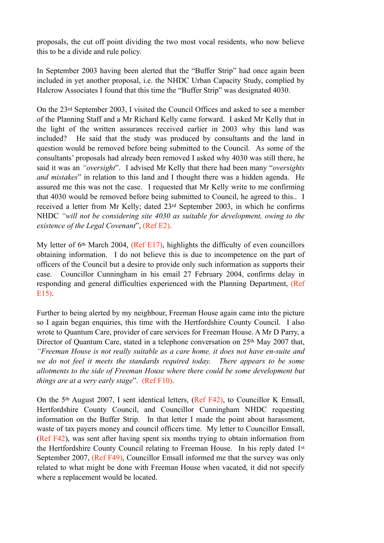proposals, the cut off point dividing the two most vocal residents, who now believe this to be a divide and rule policy.

In September 2003 having been alerted that the "Buffer Strip" had once again been included in yet another proposal, i.e. the NHDC Urban Capacity Study, complied by Halcrow Associates I found that this time the "Buffer Strip" was designated 4030.

On the 23rd September 2003, I visited the Council Offices and asked to see a member of the Planning Staff and a Mr Richard Kelly came forward. I asked Mr Kelly that in the light of the written assurances received earlier in 2003 why this land was included? He said that the study was produced by consultants and the land in question would be removed before being submitted to the Council. As some of the consultants' proposals had already been removed I asked why 4030 was still there, he said it was an *"oversight*". I advised Mr Kelly that there had been many "*oversights and mistakes*" in relation to this land and I thought there was a hidden agenda. He assured me this was not the case. I requested that Mr Kelly write to me confirming that 4030 would be removed before being submitted to Council, he agreed to this.. I received a letter from Mr Kelly; dated 23rd September 2003, in which he confirms NHDC *"will not be considering site 4030 as suitable for development, owing to the existence of the Legal Covenant*", (Ref E2).

My letter of 6<sup>th</sup> March 2004, (Ref E17), highlights the difficulty of even councillors obtaining information. I do not believe this is due to incompetence on the part of officers of the Council but a desire to provide only such information as supports their case. Councillor Cunningham in his email 27 February 2004, confirms delay in responding and general difficulties experienced with the Planning Department, (Ref E15).

Further to being alerted by my neighbour, Freeman House again came into the picture so I again began enquiries, this time with the Hertfordshire County Council. I also wrote to Quantum Care, provider of care services for Freeman House. A Mr D Parry, a Director of Quantum Care, stated in a telephone conversation on 25<sup>th</sup> May 2007 that, *"Freeman House is not really suitable as a care home, it does not have en-suite and we do not feel it meets the standards required today. There appears to be some allotments to the side of Freeman House where there could be some development but things are at a very early stage*". (Ref F10).

On the 5th August 2007, I sent identical letters, (Ref F42), to Councillor K Emsall, Hertfordshire County Council, and Councillor Cunningham NHDC requesting information on the Buffer Strip. In that letter I made the point about harassment, waste of tax payers money and council officers time. My letter to Councillor Emsall, (Ref F42), was sent after having spent six months trying to obtain information from the Hertfordshire County Council relating to Freeman House. In his reply dated 1st September 2007, (Ref F49), Councillor Emsall informed me that the survey was only related to what might be done with Freeman House when vacated, it did not specify where a replacement would be located.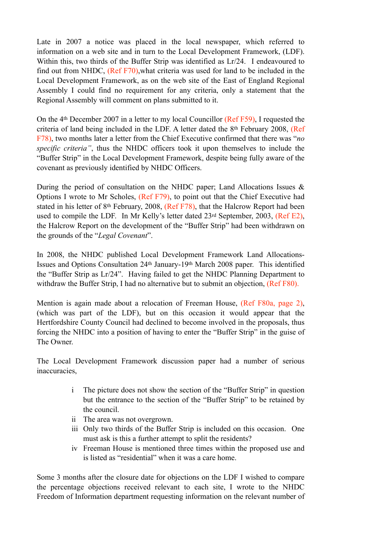Late in 2007 a notice was placed in the local newspaper, which referred to information on a web site and in turn to the Local Development Framework, (LDF). Within this, two thirds of the Buffer Strip was identified as Lr/24. I endeavoured to find out from NHDC, (Ref F70),what criteria was used for land to be included in the Local Development Framework, as on the web site of the East of England Regional Assembly I could find no requirement for any criteria, only a statement that the Regional Assembly will comment on plans submitted to it.

On the 4th December 2007 in a letter to my local Councillor (Ref F59), I requested the criteria of land being included in the LDF. A letter dated the 8th February 2008, (Ref F78), two months later a letter from the Chief Executive confirmed that there was "*no specific criteria"*, thus the NHDC officers took it upon themselves to include the "Buffer Strip" in the Local Development Framework, despite being fully aware of the covenant as previously identified by NHDC Officers.

During the period of consultation on the NHDC paper; Land Allocations Issues  $\&$ Options I wrote to Mr Scholes, (Ref F79), to point out that the Chief Executive had stated in his letter of 8th February, 2008, (Ref F78), that the Halcrow Report had been used to compile the LDF. In Mr Kelly's letter dated 23rd September, 2003, (Ref E2), the Halcrow Report on the development of the "Buffer Strip" had been withdrawn on the grounds of the "*Legal Covenant*".

In 2008, the NHDC published Local Development Framework Land Allocations-Issues and Options Consultation 24th January-19th March 2008 paper. This identified the "Buffer Strip as Lr/24". Having failed to get the NHDC Planning Department to withdraw the Buffer Strip, I had no alternative but to submit an objection, (Ref F80).

Mention is again made about a relocation of Freeman House, (Ref F80a, page 2), (which was part of the LDF), but on this occasion it would appear that the Hertfordshire County Council had declined to become involved in the proposals, thus forcing the NHDC into a position of having to enter the "Buffer Strip" in the guise of The Owner.

The Local Development Framework discussion paper had a number of serious inaccuracies,

- i The picture does not show the section of the "Buffer Strip" in question but the entrance to the section of the "Buffer Strip" to be retained by the council.
- ii The area was not overgrown.
- iii Only two thirds of the Buffer Strip is included on this occasion. One must ask is this a further attempt to split the residents?
- iv Freeman House is mentioned three times within the proposed use and is listed as "residential" when it was a care home.

Some 3 months after the closure date for objections on the LDF I wished to compare the percentage objections received relevant to each site, I wrote to the NHDC Freedom of Information department requesting information on the relevant number of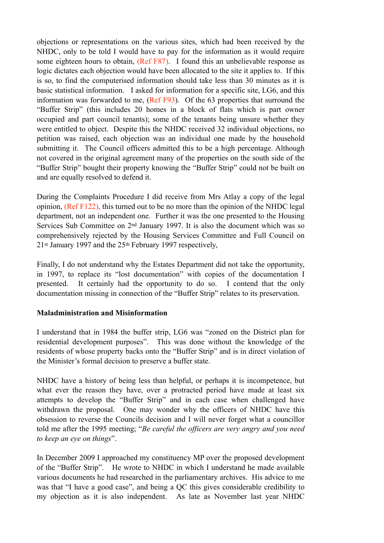objections or representations on the various sites, which had been received by the NHDC, only to be told I would have to pay for the information as it would require some eighteen hours to obtain, (Ref F87). I found this an unbelievable response as logic dictates each objection would have been allocated to the site it applies to. If this is so, to find the computerised information should take less than 30 minutes as it is basic statistical information. I asked for information for a specific site, LG6, and this information was forwarded to me, (Ref F93). Of the 63 properties that surround the "Buffer Strip" (this includes 20 homes in a block of flats which is part owner occupied and part council tenants); some of the tenants being unsure whether they were entitled to object. Despite this the NHDC received 32 individual objections, no petition was raised, each objection was an individual one made by the household submitting it. The Council officers admitted this to be a high percentage. Although not covered in the original agreement many of the properties on the south side of the "Buffer Strip" bought their property knowing the "Buffer Strip" could not be built on and are equally resolved to defend it.

During the Complaints Procedure I did receive from Mrs Atlay a copy of the legal opinion, (Ref F122), this turned out to be no more than the opinion of the NHDC legal department, not an independent one. Further it was the one presented to the Housing Services Sub Committee on 2nd January 1997. It is also the document which was so comprehensively rejected by the Housing Services Committee and Full Council on 21st January 1997 and the 25th February 1997 respectively,

Finally, I do not understand why the Estates Department did not take the opportunity, in 1997, to replace its "lost documentation" with copies of the documentation I presented. It certainly had the opportunity to do so. I contend that the only documentation missing in connection of the "Buffer Strip" relates to its preservation.

#### **Maladministration and Misinformation**

I understand that in 1984 the buffer strip, LG6 was "zoned on the District plan for residential development purposes". This was done without the knowledge of the residents of whose property backs onto the "Buffer Strip" and is in direct violation of the Minister's formal decision to preserve a buffer state.

NHDC have a history of being less than helpful, or perhaps it is incompetence, but what ever the reason they have, over a protracted period have made at least six attempts to develop the "Buffer Strip" and in each case when challenged have withdrawn the proposal. One may wonder why the officers of NHDC have this obsession to reverse the Councils decision and I will never forget what a councillor told me after the 1995 meeting; "*Be careful the officers are very angry and you need to keep an eye on things*".

In December 2009 I approached my constituency MP over the proposed development of the "Buffer Strip". He wrote to NHDC in which I understand he made available various documents he had researched in the parliamentary archives. His advice to me was that "I have a good case", and being a QC this gives considerable credibility to my objection as it is also independent. As late as November last year NHDC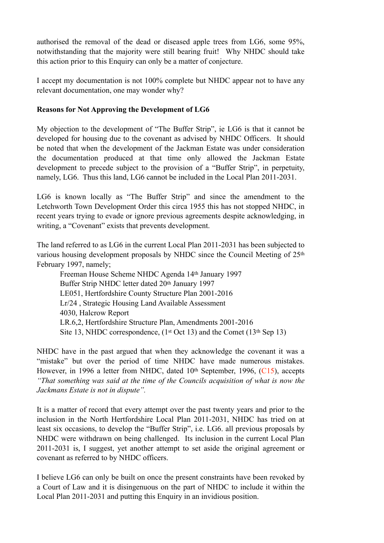authorised the removal of the dead or diseased apple trees from LG6, some 95%, notwithstanding that the majority were still bearing fruit! Why NHDC should take this action prior to this Enquiry can only be a matter of conjecture.

I accept my documentation is not 100% complete but NHDC appear not to have any relevant documentation, one may wonder why?

### **Reasons for Not Approving the Development of LG6**

My objection to the development of "The Buffer Strip", ie LG6 is that it cannot be developed for housing due to the covenant as advised by NHDC Officers. It should be noted that when the development of the Jackman Estate was under consideration the documentation produced at that time only allowed the Jackman Estate development to precede subject to the provision of a "Buffer Strip", in perpetuity, namely, LG6. Thus this land, LG6 cannot be included in the Local Plan 2011-2031.

LG6 is known locally as "The Buffer Strip" and since the amendment to the Letchworth Town Development Order this circa 1955 this has not stopped NHDC, in recent years trying to evade or ignore previous agreements despite acknowledging, in writing, a "Covenant" exists that prevents development.

The land referred to as LG6 in the current Local Plan 2011-2031 has been subjected to various housing development proposals by NHDC since the Council Meeting of 25th February 1997, namely;

Freeman House Scheme NHDC Agenda 14th January 1997 Buffer Strip NHDC letter dated 20th January 1997 LE051, Hertfordshire County Structure Plan 2001-2016 Lr/24 , Strategic Housing Land Available Assessment 4030, Halcrow Report LR.6,2, Hertfordshire Structure Plan, Amendments 2001-2016 Site 13, NHDC correspondence,  $(1<sup>st</sup> Oct 13)$  and the Comet  $(13<sup>th</sup> Sep 13)$ 

NHDC have in the past argued that when they acknowledge the covenant it was a "mistake" but over the period of time NHDC have made numerous mistakes. However, in 1996 a letter from NHDC, dated 10<sup>th</sup> September, 1996, (C15), accepts *"That something was said at the time of the Councils acquisition of what is now the Jackmans Estate is not in dispute".* 

It is a matter of record that every attempt over the past twenty years and prior to the inclusion in the North Hertfordshire Local Plan 2011-2031, NHDC has tried on at least six occasions, to develop the "Buffer Strip", i.e. LG6. all previous proposals by NHDC were withdrawn on being challenged. Its inclusion in the current Local Plan 2011-2031 is, I suggest, yet another attempt to set aside the original agreement or covenant as referred to by NHDC officers.

I believe LG6 can only be built on once the present constraints have been revoked by a Court of Law and it is disingenuous on the part of NHDC to include it within the Local Plan 2011-2031 and putting this Enquiry in an invidious position.